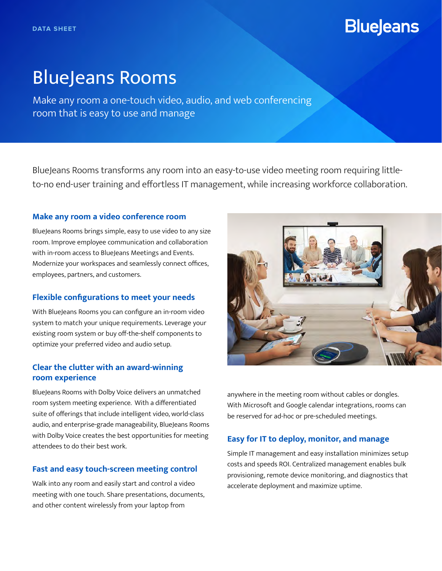# **BlueJeans**

# BlueJeans Rooms

Make any room a one-touch video, audio, and web conferencing room that is easy to use and manage

BlueJeans Rooms transforms any room into an easy-to-use video meeting room requiring littleto-no end-user training and effortless IT management, while increasing workforce collaboration.

#### **Make any room a video conference room**

BlueJeans Rooms brings simple, easy to use video to any size room. Improve employee communication and collaboration with in-room access to BlueJeans Meetings and Events. Modernize your workspaces and seamlessly connect offices, employees, partners, and customers.

### **Flexible configurations to meet your needs**

With BlueJeans Rooms you can configure an in-room video system to match your unique requirements. Leverage your existing room system or buy off-the-shelf components to optimize your preferred video and audio setup.

# **Clear the clutter with an award-winning room experience**

BlueJeans Rooms with Dolby Voice delivers an unmatched room system meeting experience. With a differentiated suite of offerings that include intelligent video, world-class audio, and enterprise-grade manageability, BlueJeans Rooms with Dolby Voice creates the best opportunities for meeting attendees to do their best work.

# **Fast and easy touch-screen meeting control**

Walk into any room and easily start and control a video meeting with one touch. Share presentations, documents, and other content wirelessly from your laptop from



anywhere in the meeting room without cables or dongles. With Microsoft and Google calendar integrations, rooms can be reserved for ad-hoc or pre-scheduled meetings.

# **Easy for IT to deploy, monitor, and manage**

Simple IT management and easy installation minimizes setup costs and speeds ROI. Centralized management enables bulk provisioning, remote device monitoring, and diagnostics that accelerate deployment and maximize uptime.